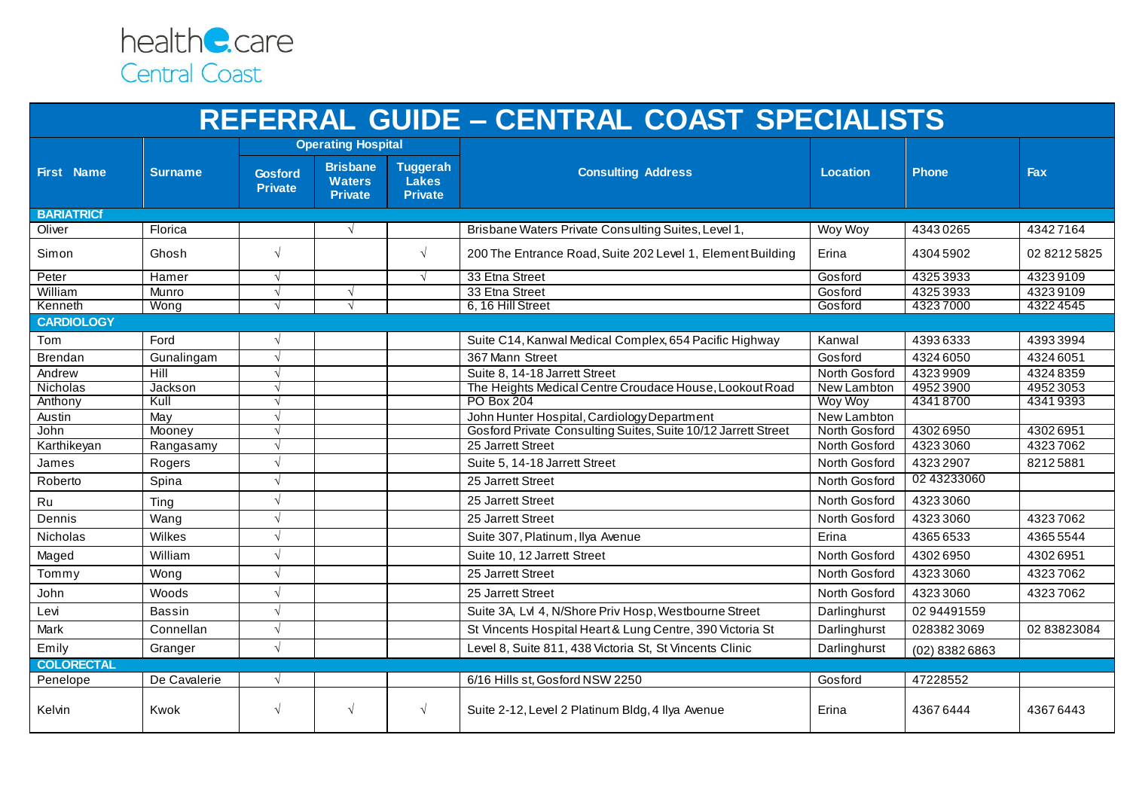

| <b>REFERRAL GUIDE - CENTRAL COAST SPECIALISTS</b> |                |                                  |                                                    |                                                   |                                                               |                 |                |              |  |  |
|---------------------------------------------------|----------------|----------------------------------|----------------------------------------------------|---------------------------------------------------|---------------------------------------------------------------|-----------------|----------------|--------------|--|--|
|                                                   |                |                                  | <b>Operating Hospital</b>                          |                                                   |                                                               |                 |                |              |  |  |
| <b>First Name</b>                                 | <b>Surname</b> | <b>Gosford</b><br><b>Private</b> | <b>Brisbane</b><br><b>Waters</b><br><b>Private</b> | <b>Tuggerah</b><br><b>Lakes</b><br><b>Private</b> | <b>Consulting Address</b>                                     | <b>Location</b> | <b>Phone</b>   | Fax          |  |  |
| <b>BARIATRICf</b>                                 |                |                                  |                                                    |                                                   |                                                               |                 |                |              |  |  |
| Oliver                                            | Florica        |                                  | $\sqrt{ }$                                         |                                                   | Brisbane Waters Private Consulting Suites, Level 1,           | Woy Woy         | 43430265       | 43427164     |  |  |
| Simon                                             | Ghosh          | $\sqrt{ }$                       |                                                    | $\sqrt{ }$                                        | 200 The Entrance Road, Suite 202 Level 1, Element Building    | Erina           | 43045902       | 02 8212 5825 |  |  |
| Peter                                             | Hamer          | $\sqrt{ }$                       |                                                    | $\sqrt{ }$                                        | 33 Etna Street                                                | Gosford         | 43253933       | 43239109     |  |  |
| William                                           | Munro          | $\sqrt{}$                        | $\sqrt{ }$                                         |                                                   | 33 Etna Street                                                | Gosford         | 43253933       | 43239109     |  |  |
| Kenneth                                           | Wong           | $\sqrt{ }$                       | $\sqrt{ }$                                         |                                                   | 6, 16 Hill Street                                             | Gosford         | 43237000       | 43224545     |  |  |
| <b>CARDIOLOGY</b>                                 |                |                                  |                                                    |                                                   |                                                               |                 |                |              |  |  |
| Tom                                               | Ford           | $\sqrt{ }$                       |                                                    |                                                   | Suite C14, Kanwal Medical Complex, 654 Pacific Highway        | Kanwal          | 43936333       | 43933994     |  |  |
| Brendan                                           | Gunalingam     | $\sqrt{ }$                       |                                                    |                                                   | 367 Mann Street                                               | Gosford         | 43246050       | 43246051     |  |  |
| Andrew                                            | Hill           | $\sqrt{ }$                       |                                                    |                                                   | Suite 8, 14-18 Jarrett Street                                 | North Gosford   | 43239909       | 43248359     |  |  |
| Nicholas                                          | Jackson        | $\sqrt{ }$                       |                                                    |                                                   | The Heights Medical Centre Croudace House, Lookout Road       | New Lambton     | 49523900       | 49523053     |  |  |
| Anthony                                           | Kull           | $\sqrt{ }$                       |                                                    |                                                   | PO Box 204                                                    | <b>Woy Woy</b>  | 43418700       | 43419393     |  |  |
| Austin                                            | May            | $\sqrt{ }$                       |                                                    |                                                   | John Hunter Hospital, Cardiology Department                   | New Lambton     |                |              |  |  |
| John                                              | Mooney         | $\sqrt{ }$                       |                                                    |                                                   | Gosford Private Consulting Suites, Suite 10/12 Jarrett Street | North Gosford   | 43026950       | 43026951     |  |  |
| Karthikeyan                                       | Rangasamy      | $\sqrt{ }$                       |                                                    |                                                   | 25 Jarrett Street                                             | North Gosford   | 43233060       | 43237062     |  |  |
| James                                             | Rogers         | $\sqrt{ }$                       |                                                    |                                                   | Suite 5, 14-18 Jarrett Street                                 | North Gosford   | 43232907       | 82125881     |  |  |
| Roberto                                           | Spina          | $\sqrt{ }$                       |                                                    |                                                   | 25 Jarrett Street                                             | North Gosford   | 02 43233060    |              |  |  |
| Ru                                                | Ting           | $\sqrt{ }$                       |                                                    |                                                   | 25 Jarrett Street                                             | North Gosford   | 43233060       |              |  |  |
| Dennis                                            | Wang           | $\sqrt{ }$                       |                                                    |                                                   | 25 Jarrett Street                                             | North Gosford   | 43233060       | 43237062     |  |  |
| <b>Nicholas</b>                                   | Wilkes         | $\sqrt{ }$                       |                                                    |                                                   | Suite 307, Platinum, Ilya Avenue                              | Erina           | 43656533       | 43655544     |  |  |
| Maged                                             | William        | $\sqrt{ }$                       |                                                    |                                                   | Suite 10, 12 Jarrett Street                                   | North Gosford   | 43026950       | 43026951     |  |  |
| Tommy                                             | Wong           | $\sqrt{ }$                       |                                                    |                                                   | 25 Jarrett Street                                             | North Gosford   | 43233060       | 43237062     |  |  |
| John                                              | Woods          | $\sqrt{ }$                       |                                                    |                                                   | 25 Jarrett Street                                             | North Gosford   | 43233060       | 43237062     |  |  |
| Levi                                              | Bassin         | $\sqrt{ }$                       |                                                    |                                                   | Suite 3A, Lvl 4, N/Shore Priv Hosp, Westbourne Street         | Darlinghurst    | 02 94491559    |              |  |  |
| Mark                                              | Connellan      | $\sqrt{ }$                       |                                                    |                                                   | St Vincents Hospital Heart & Lung Centre, 390 Victoria St     | Darlinghurst    | 0283823069     | 02 83823084  |  |  |
| Emily                                             | Granger        | $\sqrt{ }$                       |                                                    |                                                   | Level 8, Suite 811, 438 Victoria St, St Vincents Clinic       | Darlinghurst    | (02) 8382 6863 |              |  |  |
| <b>COLORECTAL</b>                                 |                |                                  |                                                    |                                                   |                                                               |                 |                |              |  |  |
| Penelope                                          | De Cavalerie   | $\sqrt{ }$                       |                                                    |                                                   | 6/16 Hills st, Gosford NSW 2250                               | Gosford         | 47228552       |              |  |  |
| Kelvin                                            | Kwok           | $\sqrt{ }$                       | $\sqrt{ }$                                         | $\sqrt{ }$                                        | Suite 2-12, Level 2 Platinum Bldg, 4 Ilya Avenue              | Erina           | 43676444       | 43676443     |  |  |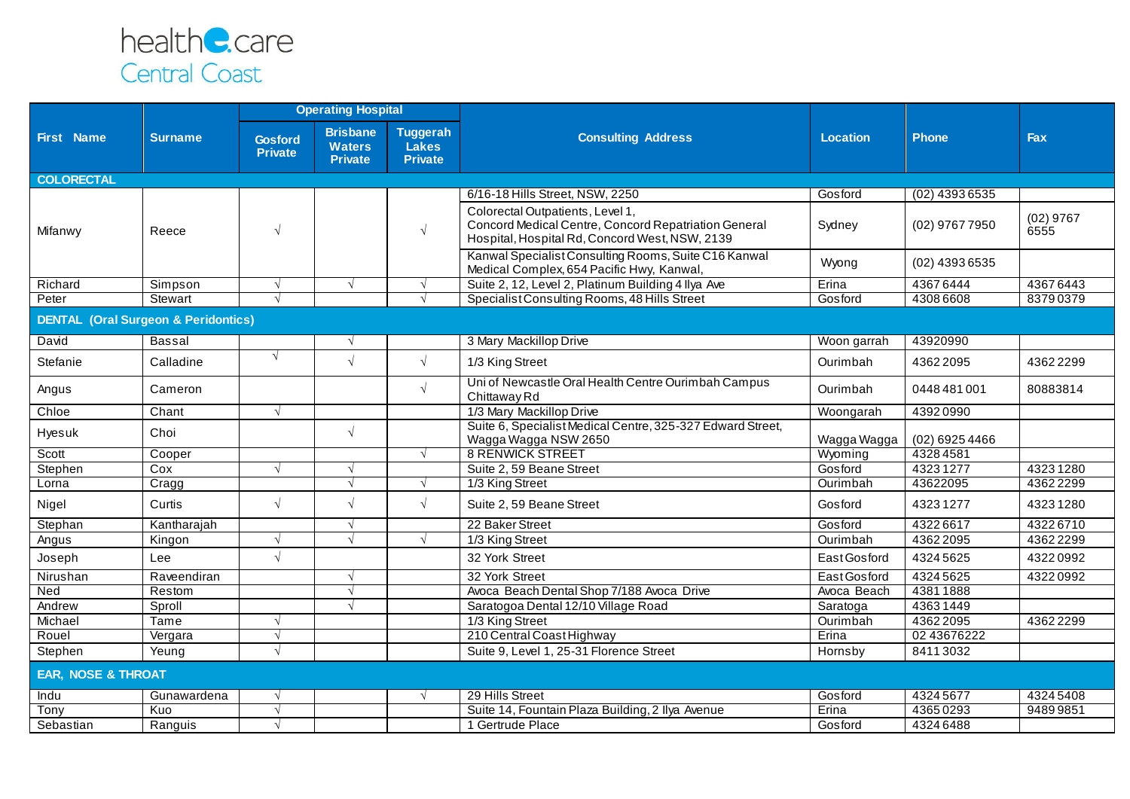

|                                                |                | <b>Operating Hospital</b>        |                                                    |                                            |                                                                                                                                            |                 |                  |                     |
|------------------------------------------------|----------------|----------------------------------|----------------------------------------------------|--------------------------------------------|--------------------------------------------------------------------------------------------------------------------------------------------|-----------------|------------------|---------------------|
| <b>First Name</b>                              | <b>Surname</b> | <b>Gosford</b><br><b>Private</b> | <b>Brisbane</b><br><b>Waters</b><br><b>Private</b> | <b>Tuggerah</b><br>Lakes<br><b>Private</b> | <b>Consulting Address</b>                                                                                                                  | <b>Location</b> | <b>Phone</b>     | <b>Fax</b>          |
| <b>COLORECTAL</b>                              |                |                                  |                                                    |                                            |                                                                                                                                            |                 |                  |                     |
|                                                |                |                                  |                                                    |                                            | 6/16-18 Hills Street, NSW, 2250                                                                                                            | Gosford         | $(02)$ 4393 6535 |                     |
| Mifanwy                                        | Reece          | $\sqrt{ }$                       |                                                    | $\sqrt{ }$                                 | Colorectal Outpatients, Level 1,<br>Concord Medical Centre, Concord Repatriation General<br>Hospital, Hospital Rd, Concord West, NSW, 2139 | Sydney          | (02) 9767 7950   | $(02)$ 9767<br>6555 |
|                                                |                |                                  |                                                    |                                            | Kanwal Specialist Consulting Rooms, Suite C16 Kanwal<br>Medical Complex, 654 Pacific Hwy, Kanwal,                                          | Wyong           | (02) 4393 6535   |                     |
| Richard                                        | Simpson        | $\sqrt{ }$                       | $\sqrt{ }$                                         | $\sqrt{ }$                                 | Suite 2, 12, Level 2, Platinum Building 4 Ilya Ave                                                                                         | Erina           | 43676444         | 43676443            |
| Peter                                          | Stewart        | $\sqrt{ }$                       |                                                    | $\sqrt{ }$                                 | Specialist Consulting Rooms, 48 Hills Street                                                                                               | Gosford         | 43086608         | 83790379            |
| <b>DENTAL (Oral Surgeon &amp; Peridontics)</b> |                |                                  |                                                    |                                            |                                                                                                                                            |                 |                  |                     |
| David                                          | <b>Bassal</b>  |                                  | $\sqrt{ }$                                         |                                            | 3 Mary Mackillop Drive                                                                                                                     | Woon garrah     | 43920990         |                     |
| Stefanie                                       | Calladine      | $\sqrt{ }$                       | $\sqrt{ }$                                         | $\sqrt{ }$                                 | 1/3 King Street                                                                                                                            | Ourimbah        | 43622095         | 43622299            |
| Angus                                          | Cameron        |                                  |                                                    | $\sqrt{ }$                                 | Uni of Newcastle Oral Health Centre Ourimbah Campus<br>Chittaway Rd                                                                        | Ourimbah        | 0448481001       | 80883814            |
| Chloe                                          | Chant          | $\sqrt{ }$                       |                                                    |                                            | 1/3 Mary Mackillop Drive                                                                                                                   | Woongarah       | 43920990         |                     |
| Hyesuk                                         | Choi           |                                  | $\sqrt{ }$                                         |                                            | Suite 6, Specialist Medical Centre, 325-327 Edward Street,<br>Wagga Wagga NSW 2650                                                         | Wagga Wagga     | $(02)$ 6925 4466 |                     |
| Scott                                          | Cooper         |                                  |                                                    | $\sqrt{ }$                                 | <b>8 RENWICK STREET</b>                                                                                                                    | Wyoming         | 43284581         |                     |
| Stephen                                        | Cox            | $\sqrt{ }$                       | $\sqrt{ }$                                         |                                            | Suite 2, 59 Beane Street                                                                                                                   | Gosford         | 43231277         | 43231280            |
| Lorna                                          | Cragg          |                                  | $\sqrt{ }$                                         | $\sqrt{ }$                                 | 1/3 King Street                                                                                                                            | Ourimbah        | 43622095         | 43622299            |
| Nigel                                          | Curtis         | $\sqrt{ }$                       | $\sqrt{ }$                                         | $\sqrt{ }$                                 | Suite 2, 59 Beane Street                                                                                                                   | Gosford         | 43231277         | 43231280            |
| Stephan                                        | Kantharajah    |                                  | $\sqrt{ }$                                         |                                            | 22 Baker Street                                                                                                                            | Gosford         | 43226617         | 43226710            |
| Angus                                          | Kingon         | $\sqrt{ }$                       | $\sqrt{ }$                                         | $\sqrt{ }$                                 | 1/3 King Street                                                                                                                            | Ourimbah        | 43622095         | 43622299            |
| Joseph                                         | Lee            | $\sqrt{ }$                       |                                                    |                                            | 32 York Street                                                                                                                             | East Gosford    | 43245625         | 43220992            |
| Nirushan                                       | Raveendiran    |                                  | $\sqrt{ }$                                         |                                            | 32 York Street                                                                                                                             | East Gosford    | 43245625         | 43220992            |
| Ned                                            | Restom         |                                  | $\sqrt{ }$                                         |                                            | Avoca Beach Dental Shop 7/188 Avoca Drive                                                                                                  | Avoca Beach     | 43811888         |                     |
| Andrew                                         | Sproll         |                                  | $\sqrt{ }$                                         |                                            | Saratogoa Dental 12/10 Village Road                                                                                                        | Saratoga        | 43631449         |                     |
| Michael                                        | Tame           | $\sqrt{ }$                       |                                                    |                                            | 1/3 King Street                                                                                                                            | Ourimbah        | 43622095         | 43622299            |
| Rouel                                          | Vergara        | $\sqrt{ }$                       |                                                    |                                            | 210 Central Coast Highway                                                                                                                  | Erina           | 02 43676222      |                     |
| Stephen                                        | Yeung          | $\sqrt{ }$                       |                                                    |                                            | Suite 9, Level 1, 25-31 Florence Street                                                                                                    | Hornsby         | 84113032         |                     |
| <b>EAR, NOSE &amp; THROAT</b>                  |                |                                  |                                                    |                                            |                                                                                                                                            |                 |                  |                     |
| Indu                                           | Gunawardena    | $\sqrt{ }$                       |                                                    | $\sqrt{ }$                                 | 29 Hills Street                                                                                                                            | Gosford         | 43245677         | 43245408            |
| Tony                                           | Kuo            | $\sqrt{ }$                       |                                                    |                                            | Suite 14, Fountain Plaza Building, 2 Ilya Avenue                                                                                           | Erina           | 43650293         | 94899851            |
| Sebastian                                      | Ranguis        |                                  |                                                    |                                            | 1 Gertrude Place                                                                                                                           | Gosford         | 43246488         |                     |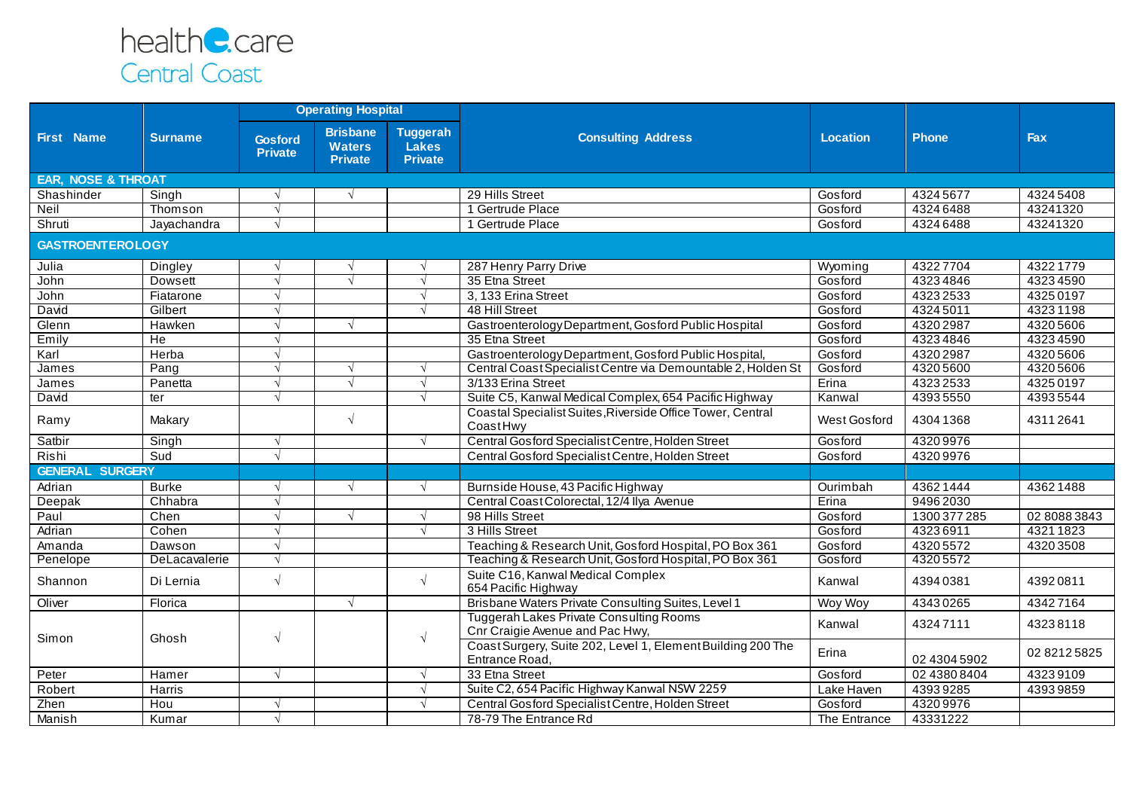

|                               |                |                                  | <b>Operating Hospital</b>                          |                                                   |                                                                               |                 |              |              |
|-------------------------------|----------------|----------------------------------|----------------------------------------------------|---------------------------------------------------|-------------------------------------------------------------------------------|-----------------|--------------|--------------|
| <b>First Name</b>             | <b>Surname</b> | <b>Gosford</b><br><b>Private</b> | <b>Brisbane</b><br><b>Waters</b><br><b>Private</b> | <b>Tuggerah</b><br><b>Lakes</b><br><b>Private</b> | <b>Consulting Address</b>                                                     | <b>Location</b> | <b>Phone</b> | Fax          |
| <b>EAR, NOSE &amp; THROAT</b> |                |                                  |                                                    |                                                   |                                                                               |                 |              |              |
| Shashinder                    | Singh          |                                  | $\sqrt{ }$                                         |                                                   | 29 Hills Street                                                               | Gosford         | 43245677     | 43245408     |
| Neil                          | Thomson        | $\sqrt{ }$                       |                                                    |                                                   | 1 Gertrude Place                                                              | Gosford         | 43246488     | 43241320     |
| Shruti                        | Jayachandra    | $\sqrt{ }$                       |                                                    |                                                   | 1 Gertrude Place                                                              | Gosford         | 43246488     | 43241320     |
| <b>GASTROENTEROLOGY</b>       |                |                                  |                                                    |                                                   |                                                                               |                 |              |              |
| Julia                         | Dingley        | $\mathcal{N}$                    | V                                                  |                                                   | 287 Henry Parry Drive                                                         | Wyoming         | 43227704     | 43221779     |
| John                          | Dowsett        | $\sqrt{ }$                       | $\sqrt{ }$                                         | $\sqrt{ }$                                        | 35 Etna Street                                                                | Gosford         | 43234846     | 43234590     |
| John                          | Fiatarone      | $\sqrt{ }$                       |                                                    | $\sqrt{ }$                                        | 3, 133 Erina Street                                                           | Gosford         | 43232533     | 43250197     |
| David                         | Gilbert        | $\sqrt{ }$                       |                                                    | $\sqrt{ }$                                        | 48 Hill Street                                                                | Gosford         | 43245011     | 43231198     |
| Glenn                         | Hawken         | $\sqrt{ }$                       | $\sqrt{ }$                                         |                                                   | Gastroenterology Department, Gosford Public Hospital                          | Gosford         | 43202987     | 43205606     |
| Emily                         | He             | $\sqrt{ }$                       |                                                    |                                                   | 35 Etna Street                                                                | Gosford         | 43234846     | 43234590     |
| Karl                          | Herba          | $\sqrt{ }$                       |                                                    |                                                   | Gastroenterology Department, Gosford Public Hospital,                         | Gosford         | 4320 2987    | 43205606     |
| James                         | Pang           | $\sqrt{ }$                       | $\sqrt{ }$                                         |                                                   | Central Coast Specialist Centre via Demountable 2, Holden St                  | Gosford         | 43205600     | 43205606     |
| James                         | Panetta        | $\sqrt{ }$                       | $\sqrt{ }$                                         | $\sqrt{ }$                                        | 3/133 Erina Street                                                            | Erina           | 43232533     | 43250197     |
| David                         | ter            | $\sqrt{ }$                       |                                                    | $\sqrt{ }$                                        | Suite C5, Kanwal Medical Complex, 654 Pacific Highway                         | Kanwal          | 43935550     | 43935544     |
| Ramy                          | Makary         |                                  | $\sqrt{ }$                                         |                                                   | Coastal Specialist Suites, Riverside Office Tower, Central<br>CoastHwy        | West Gosford    | 43041368     | 43112641     |
| Satbir                        | Singh          | $\sqrt{ }$                       |                                                    | $\sqrt{ }$                                        | Central Gosford Specialist Centre, Holden Street                              | Gosford         | 43209976     |              |
| Rishi                         | Sud            | $\sqrt{ }$                       |                                                    |                                                   | Central Gosford Specialist Centre, Holden Street                              | Gosford         | 43209976     |              |
| <b>GENERAL SURGERY</b>        |                |                                  |                                                    |                                                   |                                                                               |                 |              |              |
| Adrian                        | <b>Burke</b>   | $\sqrt{ }$                       | $\sqrt{ }$                                         | $\sqrt{ }$                                        | Burnside House, 43 Pacific Highway                                            | Ourimbah        | 43621444     | 43621488     |
| Deepak                        | Chhabra        | $\sqrt{ }$                       |                                                    |                                                   | Central Coast Colorectal, 12/4 Ilya Avenue                                    | Erina           | 94962030     |              |
| Paul                          | Chen           | $\sqrt{ }$                       | $\sqrt{ }$                                         | $\sqrt{ }$                                        | 98 Hills Street                                                               | Gosford         | 1300 377 285 | 02 8088 3843 |
| Adrian                        | Cohen          | $\sqrt{ }$                       |                                                    | $\sqrt{ }$                                        | 3 Hills Street                                                                | Gosford         | 43236911     | 43211823     |
| Amanda                        | Dawson         | $\sqrt{ }$                       |                                                    |                                                   | Teaching & Research Unit, Gosford Hospital, PO Box 361                        | Gosford         | 43205572     | 43203508     |
| Penelope                      | DeLacavalerie  | $\sqrt{ }$                       |                                                    |                                                   | Teaching & Research Unit, Gosford Hospital, PO Box 361                        | Gosford         | 43205572     |              |
| Shannon                       | Di Lernia      | $\sqrt{ }$                       |                                                    | $\sqrt{ }$                                        | Suite C16, Kanwal Medical Complex<br>654 Pacific Highway                      | Kanwal          | 43940381     | 43920811     |
| Oliver                        | Florica        |                                  | $\sqrt{ }$                                         |                                                   | Brisbane Waters Private Consulting Suites, Level 1                            | Woy Woy         | 43430265     | 43427164     |
|                               | Ghosh          | $\sqrt{ }$                       |                                                    | $\sqrt{ }$                                        | Tuggerah Lakes Private Consulting Rooms<br>Cnr Craigie Avenue and Pac Hwy,    | Kanwal          | 43247111     | 43238118     |
| Simon                         |                |                                  |                                                    |                                                   | Coast Surgery, Suite 202, Level 1, Element Building 200 The<br>Entrance Road, | Erina           | 02 4304 5902 | 02 8212 5825 |
| Peter                         | Hamer          | $\sqrt{ }$                       |                                                    | $\sqrt{ }$                                        | 33 Etna Street                                                                | Gosford         | 02 4380 8404 | 43239109     |
| Robert                        | Harris         |                                  |                                                    | $\sqrt{ }$                                        | Suite C2, 654 Pacific Highway Kanwal NSW 2259                                 | Lake Haven      | 43939285     | 43939859     |
| Zhen                          | Hou            | $\sqrt{ }$                       |                                                    | $\sqrt{ }$                                        | Central Gosford Specialist Centre, Holden Street                              | Gosford         | 43209976     |              |
| Manish                        | Kumar          | $\sqrt{ }$                       |                                                    |                                                   | 78-79 The Entrance Rd                                                         | The Entrance    | 43331222     |              |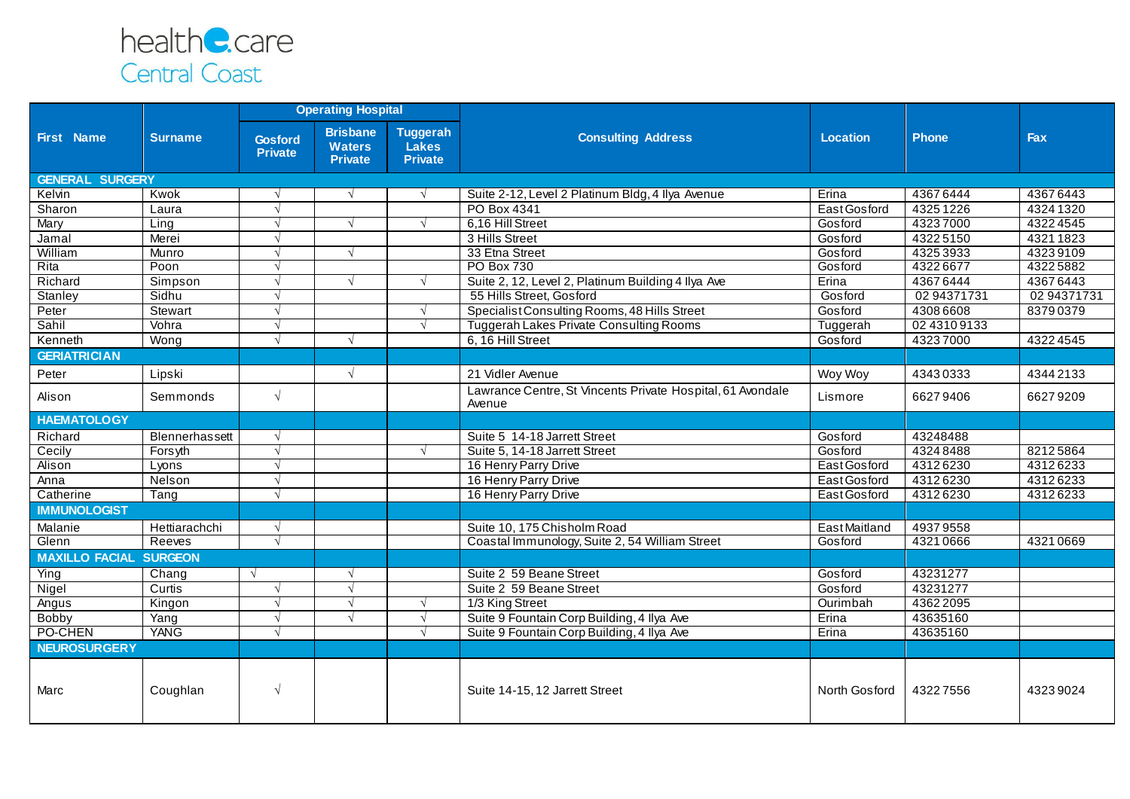

|                               |                |                                  | <b>Operating Hospital</b>                          |                                                   |                                                                      |                     |              |             |
|-------------------------------|----------------|----------------------------------|----------------------------------------------------|---------------------------------------------------|----------------------------------------------------------------------|---------------------|--------------|-------------|
| <b>First Name</b>             | <b>Surname</b> | <b>Gosford</b><br><b>Private</b> | <b>Brisbane</b><br><b>Waters</b><br><b>Private</b> | <b>Tuggerah</b><br><b>Lakes</b><br><b>Private</b> | <b>Consulting Address</b>                                            | Location            | <b>Phone</b> | Fax         |
| <b>GENERAL SURGERY</b>        |                |                                  |                                                    |                                                   |                                                                      |                     |              |             |
| Kelvin                        | Kwok           | $\sqrt{ }$                       | $\sqrt{ }$                                         | $\sqrt{ }$                                        | Suite 2-12, Level 2 Platinum Bldg, 4 Ilya Avenue                     | Erina               | 43676444     | 43676443    |
| Sharon                        | Laura          | $\sqrt{ }$                       |                                                    |                                                   | PO Box 4341                                                          | East Gosford        | 43251226     | 43241320    |
| Mary                          | Ling           | $\sqrt{ }$                       | $\sqrt{ }$                                         | $\sqrt{ }$                                        | 6,16 Hill Street                                                     | Gosford             | 43237000     | 43224545    |
| Jamal                         | Merei          |                                  |                                                    |                                                   | 3 Hills Street                                                       | Gosford             | 43225150     | 43211823    |
| William                       | Munro          | $\sqrt{ }$                       | $\sqrt{ }$                                         |                                                   | 33 Etna Street                                                       | Gosford             | 43253933     | 43239109    |
| Rita                          | Poon           | $\sqrt{ }$                       |                                                    |                                                   | <b>PO Box 730</b>                                                    | Gosford             | 43226677     | 43225882    |
| Richard                       | Simpson        |                                  | $\sqrt{ }$                                         | $\sqrt{ }$                                        | Suite 2, 12, Level 2, Platinum Building 4 Ilya Ave                   | Erina               | 43676444     | 43676443    |
| Stanley                       | Sidhu          | $\sqrt{ }$                       |                                                    |                                                   | 55 Hills Street, Gosford                                             | Gosford             | 02 94371731  | 02 94371731 |
| Peter                         | Stewart        |                                  |                                                    | $\sqrt{ }$                                        | Specialist Consulting Rooms, 48 Hills Street                         | Gosford             | 43086608     | 83790379    |
| Sahil                         | Vohra          | $\sqrt{ }$                       |                                                    | $\sqrt{ }$                                        | <b>Tuggerah Lakes Private Consulting Rooms</b>                       | Tuggerah            | 02 4310 9133 |             |
| Kenneth                       | Wong           | $\sqrt{ }$                       | $\sqrt{ }$                                         |                                                   | 6, 16 Hill Street                                                    | Gosford             | 43237000     | 43224545    |
| <b>GERIATRICIAN</b>           |                |                                  |                                                    |                                                   |                                                                      |                     |              |             |
| Peter                         | Lipski         |                                  | $\sqrt{ }$                                         |                                                   | 21 Vidler Avenue                                                     | Woy Woy             | 43430333     | 43442133    |
| Alison                        | Semmonds       | $\sqrt{ }$                       |                                                    |                                                   | Lawrance Centre, St Vincents Private Hospital, 61 Avondale<br>Avenue | Lismore             | 66279406     | 66279209    |
| <b>HAEMATOLOGY</b>            |                |                                  |                                                    |                                                   |                                                                      |                     |              |             |
| Richard                       | Blennerhassett | $\sqrt{ }$                       |                                                    |                                                   | Suite 5 14-18 Jarrett Street                                         | Gosford             | 43248488     |             |
| Cecily                        | Forsyth        | $\sqrt{ }$                       |                                                    | $\sqrt{ }$                                        | Suite 5, 14-18 Jarrett Street                                        | Gosford             | 43248488     | 82125864    |
| Alison                        | Lyons          | $\sqrt{ }$                       |                                                    |                                                   | 16 Henry Parry Drive                                                 | East Gosford        | 43126230     | 43126233    |
| Anna                          | Nelson         |                                  |                                                    |                                                   | 16 Henry Parry Drive                                                 | East Gosford        | 43126230     | 43126233    |
| Catherine                     | Tang           | $\sqrt{ }$                       |                                                    |                                                   | 16 Henry Parry Drive                                                 | East Gosford        | 43126230     | 43126233    |
| <b>IMMUNOLOGIST</b>           |                |                                  |                                                    |                                                   |                                                                      |                     |              |             |
| Malanie                       | Hettiarachchi  | $\sqrt{ }$                       |                                                    |                                                   | Suite 10, 175 Chisholm Road                                          | <b>EastMaitland</b> | 49379558     |             |
| Glenn                         | Reeves         | $\sqrt{ }$                       |                                                    |                                                   | Coastal Immunology, Suite 2, 54 William Street                       | Gosford             | 43210666     | 43210669    |
| <b>MAXILLO FACIAL SURGEON</b> |                |                                  |                                                    |                                                   |                                                                      |                     |              |             |
| Ying                          | Chang          | $\sqrt{ }$                       | $\sqrt{ }$                                         |                                                   | Suite 2 59 Beane Street                                              | Gosford             | 43231277     |             |
| Nigel                         | Curtis         |                                  | $\sqrt{ }$                                         |                                                   | Suite 2 59 Beane Street                                              | Gosford             | 43231277     |             |
| Angus                         | Kingon         | $\sqrt{ }$                       | $\sqrt{ }$                                         | $\sqrt{ }$                                        | 1/3 King Street                                                      | Ourimbah            | 43622095     |             |
| Bobby                         | Yang           | $\sqrt{ }$                       | $\sqrt{ }$                                         | $\sqrt{ }$                                        | Suite 9 Fountain Corp Building, 4 Ilya Ave                           | Erina               | 43635160     |             |
| PO-CHEN                       | <b>YANG</b>    | $\sqrt{ }$                       |                                                    | $\sqrt{ }$                                        | Suite 9 Fountain Corp Building, 4 Ilya Ave                           | Erina               | 43635160     |             |
| <b>NEUROSURGERY</b>           |                |                                  |                                                    |                                                   |                                                                      |                     |              |             |
| Marc                          | Coughlan       | $\sqrt{ }$                       |                                                    |                                                   | Suite 14-15, 12 Jarrett Street                                       | North Gosford       | 43227556     | 43239024    |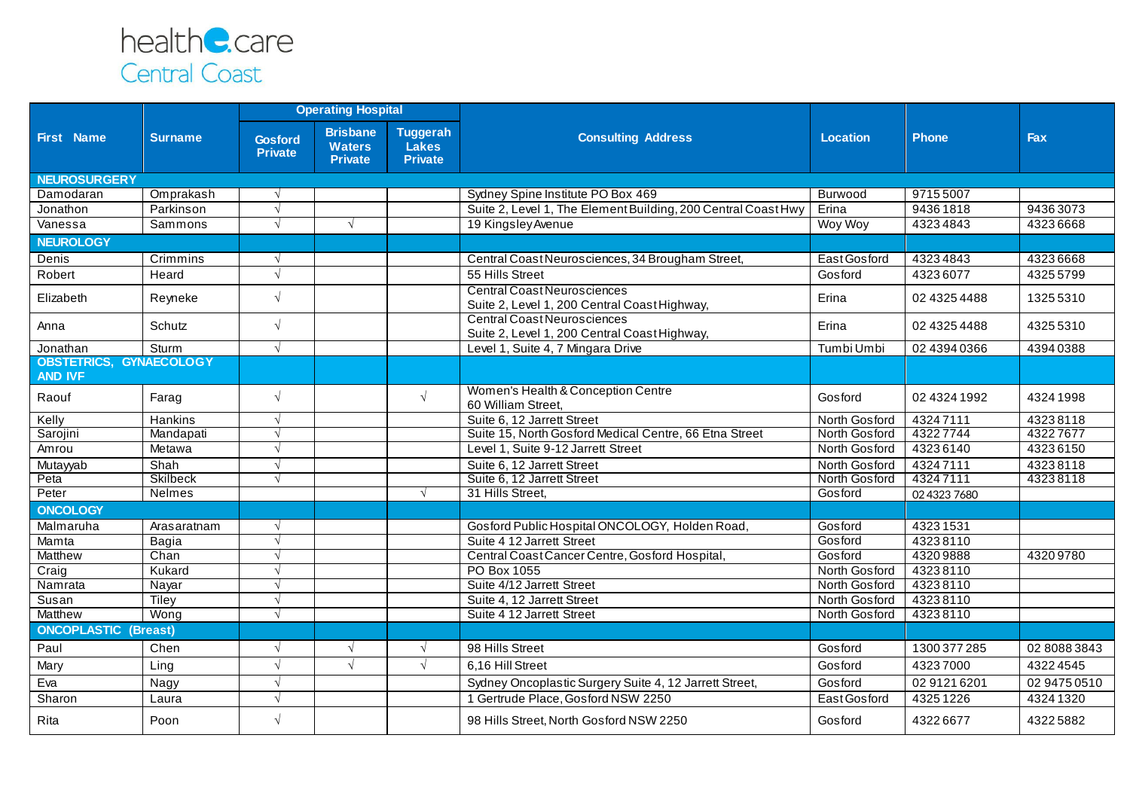

|                                                  |                 | <b>Operating Hospital</b> |                                                    |                                                   |                                                                                    |                 |              |              |
|--------------------------------------------------|-----------------|---------------------------|----------------------------------------------------|---------------------------------------------------|------------------------------------------------------------------------------------|-----------------|--------------|--------------|
| <b>First Name</b>                                | <b>Surname</b>  | Gosford<br><b>Private</b> | <b>Brisbane</b><br><b>Waters</b><br><b>Private</b> | <b>Tuggerah</b><br><b>Lakes</b><br><b>Private</b> | <b>Consulting Address</b>                                                          | <b>Location</b> | <b>Phone</b> | Fax          |
| <b>NEUROSURGERY</b>                              |                 |                           |                                                    |                                                   |                                                                                    |                 |              |              |
| Damodaran                                        | Omprakash       | $\sqrt{ }$                |                                                    |                                                   | Sydney Spine Institute PO Box 469                                                  | Burwood         | 97155007     |              |
| Jonathon                                         | Parkinson       | $\sqrt{ }$                |                                                    |                                                   | Suite 2, Level 1, The Element Building, 200 Central Coast Hwy                      | Erina           | 94361818     | 94363073     |
| Vanessa                                          | Sammons         | $\sqrt{ }$                | $\sqrt{ }$                                         |                                                   | 19 Kingsley Avenue                                                                 | Woy Woy         | 43234843     | 43236668     |
| <b>NEUROLOGY</b>                                 |                 |                           |                                                    |                                                   |                                                                                    |                 |              |              |
| Denis                                            | Crimmins        | $\sqrt{ }$                |                                                    |                                                   | Central Coast Neurosciences, 34 Brougham Street,                                   | East Gosford    | 43234843     | 43236668     |
| Robert                                           | Heard           | $\sqrt{ }$                |                                                    |                                                   | 55 Hills Street                                                                    | Gosford         | 43236077     | 43255799     |
| Elizabeth                                        | Reyneke         | $\sqrt{ }$                |                                                    |                                                   | <b>Central Coast Neurosciences</b><br>Suite 2, Level 1, 200 Central Coast Highway, | Erina           | 02 4325 4488 | 13255310     |
| Anna                                             | Schutz          | $\sqrt{ }$                |                                                    |                                                   | <b>Central Coast Neurosciences</b><br>Suite 2, Level 1, 200 Central Coast Highway, | Erina           | 02 4325 4488 | 43255310     |
| Jonathan                                         | Sturm           | $\sqrt{ }$                |                                                    |                                                   | Level 1, Suite 4, 7 Mingara Drive                                                  | Tumbi Umbi      | 02 4394 0366 | 43940388     |
| <b>OBSTETRICS, GYNAECOLOGY</b><br><b>AND IVF</b> |                 |                           |                                                    |                                                   |                                                                                    |                 |              |              |
| Raouf                                            | Farag           | $\sqrt{ }$                |                                                    | $\sqrt{ }$                                        | Women's Health & Conception Centre<br>60 William Street,                           | Gosford         | 02 4324 1992 | 43241998     |
| Kelly                                            | Hankins         | $\sqrt{ }$                |                                                    |                                                   | Suite 6, 12 Jarrett Street                                                         | North Gosford   | 43247111     | 43238118     |
| Sarojini                                         | Mandapati       | $\sqrt{ }$                |                                                    |                                                   | Suite 15, North Gosford Medical Centre, 66 Etna Street                             | North Gosford   | 43227744     | 43227677     |
| Amrou                                            | Metawa          | $\sqrt{ }$                |                                                    |                                                   | Level 1, Suite 9-12 Jarrett Street                                                 | North Gosford   | 43236140     | 43236150     |
| Mutayyab                                         | Shah            | $\sqrt{ }$                |                                                    |                                                   | Suite 6, 12 Jarrett Street                                                         | North Gosford   | 43247111     | 43238118     |
| Peta                                             | <b>Skilbeck</b> | $\sqrt{ }$                |                                                    |                                                   | Suite 6, 12 Jarrett Street                                                         | North Gosford   | 43247111     | 43238118     |
| Peter                                            | Nelmes          |                           |                                                    | $\sqrt{ }$                                        | 31 Hills Street,                                                                   | Gosford         | 02 4323 7680 |              |
| <b>ONCOLOGY</b>                                  |                 |                           |                                                    |                                                   |                                                                                    |                 |              |              |
| Malmaruha                                        | Arasaratnam     | $\sqrt{ }$                |                                                    |                                                   | Gosford Public Hospital ONCOLOGY, Holden Road,                                     | Gosford         | 43231531     |              |
| Mamta                                            | Bagia           | $\sqrt{ }$                |                                                    |                                                   | Suite 4 12 Jarrett Street                                                          | Gosford         | 43238110     |              |
| <b>Matthew</b>                                   | Chan            | $\sqrt{ }$                |                                                    |                                                   | Central Coast Cancer Centre, Gosford Hospital,                                     | Gosford         | 43209888     | 43209780     |
| Craig                                            | Kukard          | $\sqrt{ }$                |                                                    |                                                   | PO Box 1055                                                                        | North Gosford   | 43238110     |              |
| Namrata                                          | Nayar           | $\sqrt{ }$                |                                                    |                                                   | Suite 4/12 Jarrett Street                                                          | North Gosford   | 43238110     |              |
| Susan                                            | Tiley           | $\sqrt{ }$                |                                                    |                                                   | Suite 4, 12 Jarrett Street                                                         | North Gosford   | 43238110     |              |
| Matthew<br><b>ONCOPLASTIC (Breast)</b>           | Wong            | $\sqrt{ }$                |                                                    |                                                   | Suite 4 12 Jarrett Street                                                          | North Gosford   | 43238110     |              |
|                                                  |                 |                           |                                                    |                                                   |                                                                                    |                 |              |              |
| Paul                                             | Chen            | $\sqrt{ }$                | $\sqrt{ }$                                         | $\sqrt{ }$                                        | 98 Hills Street                                                                    | Gosford         | 1300 377 285 | 02 8088 3843 |
| Mary                                             | Ling            | $\sqrt{ }$                | $\sqrt{ }$                                         | $\sqrt{ }$                                        | 6,16 Hill Street                                                                   | Gosford         | 43237000     | 43224545     |
| Eva                                              | Nagy            | $\sqrt{ }$                |                                                    |                                                   | Sydney Oncoplastic Surgery Suite 4, 12 Jarrett Street,                             | Gosford         | 02 9121 6201 | 02 9475 0510 |
| Sharon                                           | Laura           | $\sqrt{ }$                |                                                    |                                                   | 1 Gertrude Place, Gosford NSW 2250                                                 | East Gosford    | 43251226     | 43241320     |
| Rita                                             | Poon            | $\sqrt{ }$                |                                                    |                                                   | 98 Hills Street, North Gosford NSW 2250                                            | Gosford         | 43226677     | 43225882     |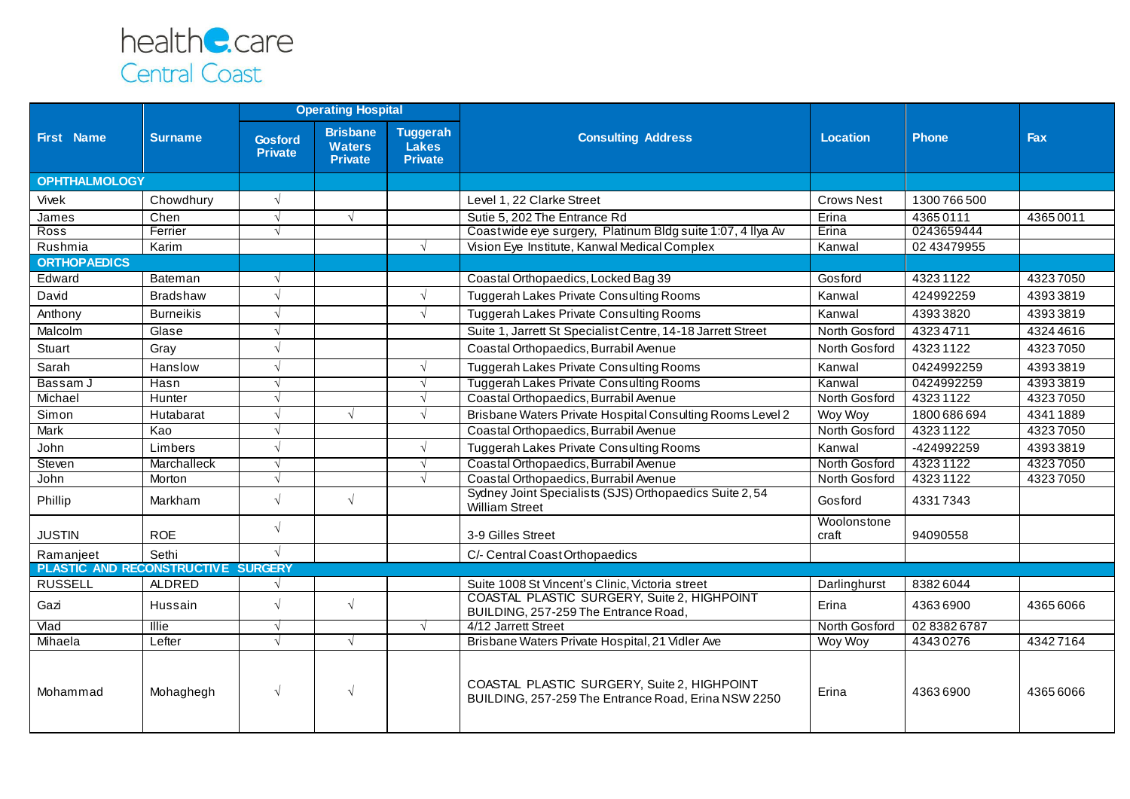

|                                           |                  | <b>Operating Hospital</b>        |                                                    |                                                   |                                                                                                    |                      |              |            |
|-------------------------------------------|------------------|----------------------------------|----------------------------------------------------|---------------------------------------------------|----------------------------------------------------------------------------------------------------|----------------------|--------------|------------|
| <b>First Name</b>                         | <b>Surname</b>   | <b>Gosford</b><br><b>Private</b> | <b>Brisbane</b><br><b>Waters</b><br><b>Private</b> | <b>Tuggerah</b><br><b>Lakes</b><br><b>Private</b> | <b>Consulting Address</b>                                                                          | Location             | <b>Phone</b> | <b>Fax</b> |
| <b>OPHTHALMOLOGY</b>                      |                  |                                  |                                                    |                                                   |                                                                                                    |                      |              |            |
| Vivek                                     | Chowdhury        |                                  |                                                    |                                                   | Level 1, 22 Clarke Street                                                                          | <b>Crows Nest</b>    | 1300766500   |            |
| James                                     | Chen             | $\sqrt{ }$                       | $\sqrt{ }$                                         |                                                   | Sutie 5, 202 The Entrance Rd                                                                       | Erina                | 43650111     | 43650011   |
| <b>Ross</b>                               | Ferrier          | $\sqrt{ }$                       |                                                    |                                                   | Coastwide eye surgery, Platinum Bldg suite 1:07, 4 Ilya Av                                         | Erina                | 0243659444   |            |
| Rushmia                                   | Karim            |                                  |                                                    | $\sqrt{ }$                                        | Vision Eye Institute, Kanwal Medical Complex                                                       | Kanwal               | 02 43479955  |            |
| <b>ORTHOPAEDICS</b>                       |                  |                                  |                                                    |                                                   |                                                                                                    |                      |              |            |
| Edward                                    | Bateman          |                                  |                                                    |                                                   | Coastal Orthopaedics, Locked Bag 39                                                                | Gosford              | 43231122     | 43237050   |
| David                                     | <b>Bradshaw</b>  |                                  |                                                    | $\sqrt{ }$                                        | Tuggerah Lakes Private Consulting Rooms                                                            | Kanwal               | 424992259    | 43933819   |
| Anthony                                   | <b>Burneikis</b> | $\sqrt{ }$                       |                                                    | $\sqrt{ }$                                        | Tuggerah Lakes Private Consulting Rooms                                                            | Kanwal               | 43933820     | 43933819   |
| Malcolm                                   | Glase            | $\sqrt{ }$                       |                                                    |                                                   | Suite 1, Jarrett St Specialist Centre, 14-18 Jarrett Street                                        | North Gosford        | 43234711     | 43244616   |
| Stuart                                    | Gray             | $\sqrt{ }$                       |                                                    |                                                   | Coastal Orthopaedics, Burrabil Avenue                                                              | North Gosford        | 43231122     | 43237050   |
| Sarah                                     | Hanslow          | $\sqrt{ }$                       |                                                    | $\sqrt{ }$                                        | Tuggerah Lakes Private Consulting Rooms                                                            | Kanwal               | 0424992259   | 43933819   |
| Bassam J                                  | Hasn             | $\sqrt{ }$                       |                                                    | $\sqrt{ }$                                        | <b>Tuggerah Lakes Private Consulting Rooms</b>                                                     | Kanwal               | 0424992259   | 43933819   |
| Michael                                   | Hunter           |                                  |                                                    | $\sqrt{ }$                                        | Coastal Orthopaedics, Burrabil Avenue                                                              | North Gosford        | 43231122     | 43237050   |
| Simon                                     | Hutabarat        |                                  | $\sqrt{ }$                                         | $\sqrt{ }$                                        | Brisbane Waters Private Hospital Consulting Rooms Level 2                                          | Woy Woy              | 1800 686 694 | 43411889   |
| Mark                                      | Kao              | $\sqrt{ }$                       |                                                    |                                                   | Coastal Orthopaedics, Burrabil Avenue                                                              | North Gosford        | 43231122     | 43237050   |
| John                                      | Limbers          |                                  |                                                    | $\sqrt{ }$                                        | Tuggerah Lakes Private Consulting Rooms                                                            | Kanwal               | -424992259   | 43933819   |
| Steven                                    | Marchalleck      | $\sqrt{ }$                       |                                                    | $\sqrt{ }$                                        | Coastal Orthopaedics, Burrabil Avenue                                                              | North Gosford        | 43231122     | 43237050   |
| John                                      | Morton           | $\sqrt{ }$                       |                                                    | $\sqrt{ }$                                        | Coastal Orthopaedics, Burrabil Avenue                                                              | North Gosford        | 43231122     | 43237050   |
| Phillip                                   | Markham          | $\sqrt{2}$                       | $\sqrt{ }$                                         |                                                   | Sydney Joint Specialists (SJS) Orthopaedics Suite 2, 54<br><b>William Street</b>                   | Gosford              | 43317343     |            |
| <b>JUSTIN</b>                             | <b>ROE</b>       | $\sqrt{ }$                       |                                                    |                                                   | 3-9 Gilles Street                                                                                  | Woolonstone<br>craft | 94090558     |            |
| Ramanjeet                                 | Sethi            | $\sqrt{ }$                       |                                                    |                                                   | C/- Central Coast Orthopaedics                                                                     |                      |              |            |
| <b>PLASTIC AND RECONSTRUCTIVE SURGERY</b> |                  |                                  |                                                    |                                                   |                                                                                                    |                      |              |            |
| <b>RUSSELL</b>                            | ALDRED           |                                  |                                                    |                                                   | Suite 1008 St Vincent's Clinic, Victoria street                                                    | Darlinghurst         | 83826044     |            |
| Gazi                                      | Hussain          | $\sqrt{ }$                       | $\sqrt{ }$                                         |                                                   | COASTAL PLASTIC SURGERY, Suite 2, HIGHPOINT<br>BUILDING, 257-259 The Entrance Road,                | Erina                | 43636900     | 43656066   |
| Vlad                                      | Illie            | $\sqrt{ }$                       |                                                    | $\sqrt{ }$                                        | 4/12 Jarrett Street                                                                                | North Gosford        | 02 8382 6787 |            |
| Mihaela                                   | Lefter           | $\sqrt{ }$                       | $\sqrt{ }$                                         |                                                   | Brisbane Waters Private Hospital, 21 Vidler Ave                                                    | Woy Woy              | 43430276     | 43427164   |
| Mohammad                                  | Mohaghegh        | $\sqrt{ }$                       | $\sqrt{ }$                                         |                                                   | COASTAL PLASTIC SURGERY, Suite 2, HIGHPOINT<br>BUILDING, 257-259 The Entrance Road, Erina NSW 2250 | Erina                | 43636900     | 43656066   |